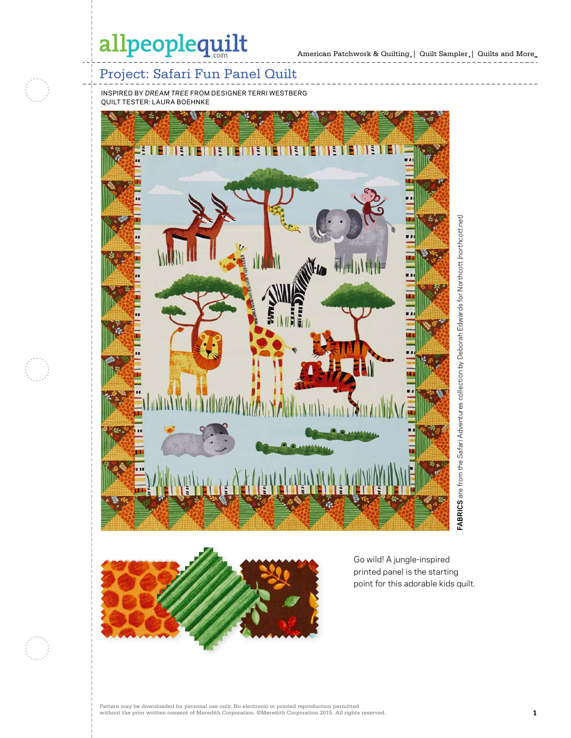# allpeoplequilt

## Project: Safari Fun Panel Quilt

INSPIRED BY *DREAM TREE* FROM DESIGNER TERRI WESTBERG QUILT TESTER: LAURA BOEHNKE







Go wild! A jungle-inspired printed panel is the starting point for this adorable kids quilt.

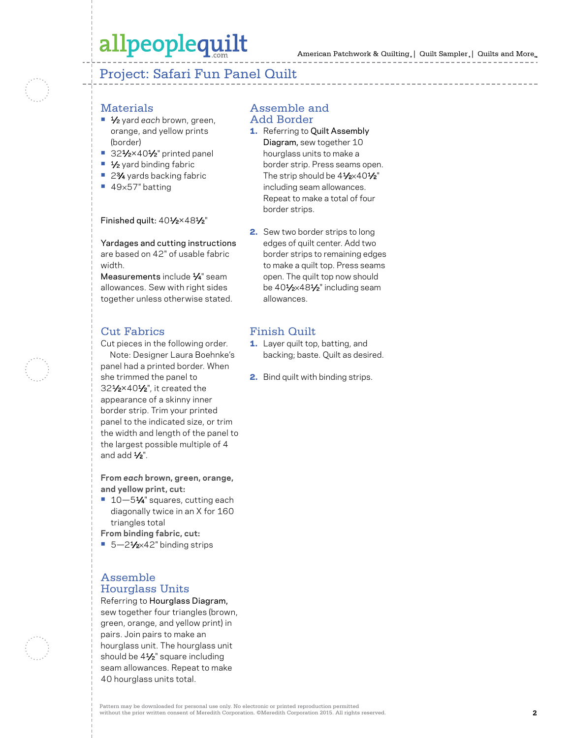# allpeoplequilt

Project: Safari Fun Panel Quilt

### **Materials**

- **•** 1⁄2 yard *each* brown, green, orange, and yellow prints (border)
- **•** 321⁄2×401⁄2" printed panel
- **•** 1⁄2 yard binding fabric
- 2<sup>3</sup>⁄4 yards backing fabric
- **•** 49×57" batting

#### Finished quilt: 401/2×481/2"

Yardages and cutting instructions are based on 42" of usable fabric width.

Measurements include 1/4" seam allowances. Sew with right sides together unless otherwise stated.

### Cut Fabrics

Cut pieces in the following order. Note: Designer Laura Boehnke's panel had a printed border. When she trimmed the panel to 321⁄2×401⁄2", it created the appearance of a skinny inner border strip. Trim your printed panel to the indicated size, or trim the width and length of the panel to the largest possible multiple of 4 and add 1⁄2".

**From** *each* **brown, green, orange, and yellow print, cut:**

- 10-51⁄4" squares, cutting each diagonally twice in an X for 160 triangles total
- **From binding fabric, cut:**
- 5-21⁄2×42" binding strips

#### Assemble Hourglass Units

#### Referring to Hourglass Diagram,

sew together four triangles (brown, green, orange, and yellow print) in pairs. Join pairs to make an hourglass unit. The hourglass unit should be 41⁄2" square including seam allowances. Repeat to make 40 hourglass units total.

#### Assemble and Add Border

- 1. Referring to Quilt Assembly Diagram, sew together 10 hourglass units to make a border strip. Press seams open. The strip should be  $4\frac{1}{2} \times 40\frac{1}{2}$ " including seam allowances. Repeat to make a total of four border strips.
- 2. Sew two border strips to long edges of quilt center. Add two border strips to remaining edges to make a quilt top. Press seams open. The quilt top now should be 401⁄2×481⁄2" including seam allowances.

### Finish Quilt

- 1. Layer quilt top, batting, and backing; baste. Quilt as desired.
- 2. Bind quilt with binding strips.